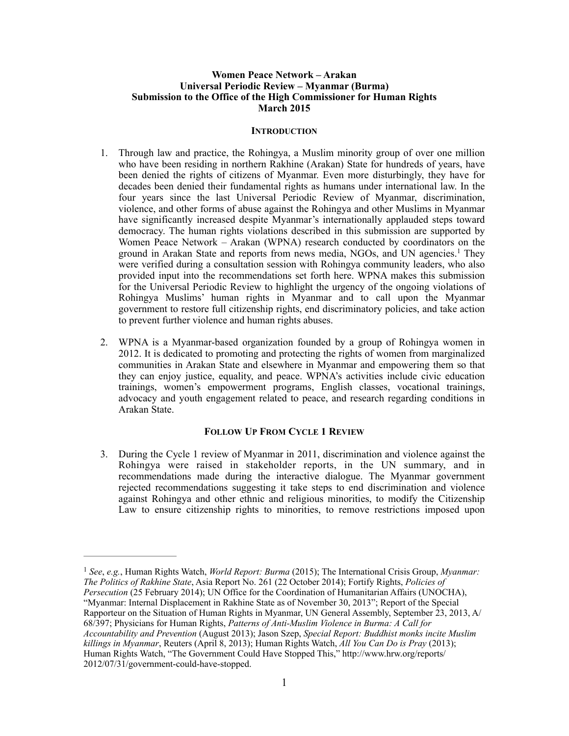## **Women Peace Network – Arakan Universal Periodic Review – Myanmar (Burma) Submission to the Office of the High Commissioner for Human Rights March 2015**

### **INTRODUCTION**

- 1. Through law and practice, the Rohingya, a Muslim minority group of over one million who have been residing in northern Rakhine (Arakan) State for hundreds of years, have been denied the rights of citizens of Myanmar. Even more disturbingly, they have for decades been denied their fundamental rights as humans under international law. In the four years since the last Universal Periodic Review of Myanmar, discrimination, violence, and other forms of abuse against the Rohingya and other Muslims in Myanmar have significantly increased despite Myanmar's internationally applauded steps toward democracy. The human rights violations described in this submission are supported by Women Peace Network – Arakan (WPNA) research conducted by coordinators on the ground in Arakan State and reports from news media, NGOs, and UN agencies.<sup>1</sup> They were verified during a consultation session with Rohingya community leaders, who also provided input into the recommendations set forth here. WPNA makes this submission for the Universal Periodic Review to highlight the urgency of the ongoing violations of Rohingya Muslims' human rights in Myanmar and to call upon the Myanmar government to restore full citizenship rights, end discriminatory policies, and take action to prevent further violence and human rights abuses.
- 2. WPNA is a Myanmar-based organization founded by a group of Rohingya women in 2012. It is dedicated to promoting and protecting the rights of women from marginalized communities in Arakan State and elsewhere in Myanmar and empowering them so that they can enjoy justice, equality, and peace. WPNA's activities include civic education trainings, women's empowerment programs, English classes, vocational trainings, advocacy and youth engagement related to peace, and research regarding conditions in Arakan State.

## **FOLLOW UP FROM CYCLE 1 REVIEW**

3. During the Cycle 1 review of Myanmar in 2011, discrimination and violence against the Rohingya were raised in stakeholder reports, in the UN summary, and in recommendations made during the interactive dialogue. The Myanmar government rejected recommendations suggesting it take steps to end discrimination and violence against Rohingya and other ethnic and religious minorities, to modify the Citizenship Law to ensure citizenship rights to minorities, to remove restrictions imposed upon

<sup>&</sup>lt;sup>1</sup> See, e.g., Human Rights Watch, *World Report: Burma* (2015); The International Crisis Group, *Myanmar: The Politics of Rakhine State*, Asia Report No. 261 (22 October 2014); Fortify Rights, *Policies of Persecution* (25 February 2014); UN Office for the Coordination of Humanitarian Affairs (UNOCHA), "Myanmar: Internal Displacement in Rakhine State as of November 30, 2013"; Report of the Special

Rapporteur on the Situation of Human Rights in Myanmar, UN General Assembly, September 23, 2013, A/ 68/397; Physicians for Human Rights, *Patterns of Anti-Muslim Violence in Burma: A Call for Accountability and Prevention* (August 2013); Jason Szep, *Special Report: Buddhist monks incite Muslim* 

*killings in Myanmar*, Reuters (April 8, 2013); Human Rights Watch, *All You Can Do is Pray* (2013); Human Rights Watch, "The Government Could Have Stopped This," http://www.hrw.org/reports/ 2012/07/31/government-could-have-stopped.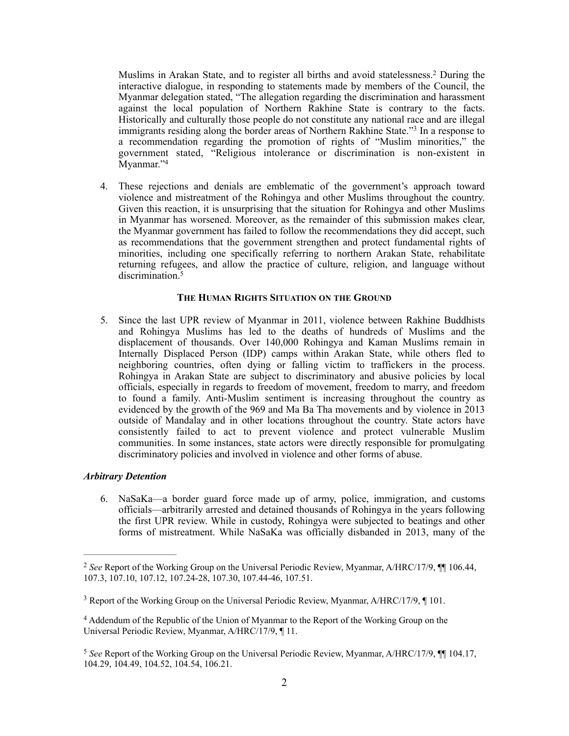Muslims in Arakan State, and to register all births and avoid statelessness.<sup>2</sup> During the interactive dialogue, in responding to statements made by members of the Council, the Myanmar delegation stated, "The allegation regarding the discrimination and harassment against the local population of Northern Rakhine State is contrary to the facts. Historically and culturally those people do not constitute any national race and are illegal immigrants residing along the border areas of Northern Rakhine State."<sup>3</sup> In a response to a recommendation regarding the promotion of rights of "Muslim minorities," the government stated, "Religious intolerance or discrimination is non-existent in Myanmar."4

4. These rejections and denials are emblematic of the government's approach toward violence and mistreatment of the Rohingya and other Muslims throughout the country. Given this reaction, it is unsurprising that the situation for Rohingya and other Muslims in Myanmar has worsened. Moreover, as the remainder of this submission makes clear, the Myanmar government has failed to follow the recommendations they did accept, such as recommendations that the government strengthen and protect fundamental rights of minorities, including one specifically referring to northern Arakan State, rehabilitate returning refugees, and allow the practice of culture, religion, and language without discrimination<sup>5</sup>

### **THE HUMAN RIGHTS SITUATION ON THE GROUND**

5. Since the last UPR review of Myanmar in 2011, violence between Rakhine Buddhists and Rohingya Muslims has led to the deaths of hundreds of Muslims and the displacement of thousands. Over 140,000 Rohingya and Kaman Muslims remain in Internally Displaced Person (IDP) camps within Arakan State, while others fled to neighboring countries, often dying or falling victim to traffickers in the process. Rohingya in Arakan State are subject to discriminatory and abusive policies by local officials, especially in regards to freedom of movement, freedom to marry, and freedom to found a family. Anti-Muslim sentiment is increasing throughout the country as evidenced by the growth of the 969 and Ma Ba Tha movements and by violence in 2013 outside of Mandalay and in other locations throughout the country. State actors have consistently failed to act to prevent violence and protect vulnerable Muslim communities. In some instances, state actors were directly responsible for promulgating discriminatory policies and involved in violence and other forms of abuse.

### *Arbitrary Detention*

6. NaSaKa—a border guard force made up of army, police, immigration, and customs officials—arbitrarily arrested and detained thousands of Rohingya in the years following the first UPR review. While in custody, Rohingya were subjected to beatings and other forms of mistreatment. While NaSaKa was officially disbanded in 2013, many of the

*See* Report of the Working Group on the Universal Periodic Review, Myanmar, A/HRC/17/9, ¶¶ 106.44, 2 107.3, 107.10, 107.12, 107.24-28, 107.30, 107.44-46, 107.51.

<sup>&</sup>lt;sup>3</sup> Report of the Working Group on the Universal Periodic Review, Myanmar, A/HRC/17/9,  $\P$  101.

<sup>&</sup>lt;sup>4</sup> Addendum of the Republic of the Union of Myanmar to the Report of the Working Group on the Universal Periodic Review, Myanmar, A/HRC/17/9, ¶ 11.

<sup>&</sup>lt;sup>5</sup> See Report of the Working Group on the Universal Periodic Review, Myanmar, A/HRC/17/9, ¶¶ 104.17, 104.29, 104.49, 104.52, 104.54, 106.21.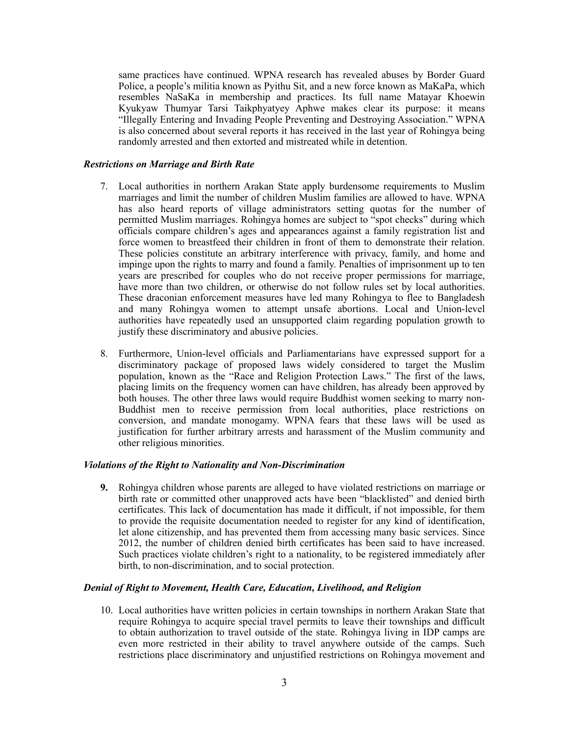same practices have continued. WPNA research has revealed abuses by Border Guard Police, a people's militia known as Pyithu Sit, and a new force known as MaKaPa, which resembles NaSaKa in membership and practices. Its full name Matayar Khoewin Kyukyaw Thumyar Tarsi Taikphyatyey Aphwe makes clear its purpose: it means "Illegally Entering and Invading People Preventing and Destroying Association." WPNA is also concerned about several reports it has received in the last year of Rohingya being randomly arrested and then extorted and mistreated while in detention.

### *Restrictions on Marriage and Birth Rate*

- 7. Local authorities in northern Arakan State apply burdensome requirements to Muslim marriages and limit the number of children Muslim families are allowed to have. WPNA has also heard reports of village administrators setting quotas for the number of permitted Muslim marriages. Rohingya homes are subject to "spot checks" during which officials compare children's ages and appearances against a family registration list and force women to breastfeed their children in front of them to demonstrate their relation. These policies constitute an arbitrary interference with privacy, family, and home and impinge upon the rights to marry and found a family. Penalties of imprisonment up to ten years are prescribed for couples who do not receive proper permissions for marriage, have more than two children, or otherwise do not follow rules set by local authorities. These draconian enforcement measures have led many Rohingya to flee to Bangladesh and many Rohingya women to attempt unsafe abortions. Local and Union-level authorities have repeatedly used an unsupported claim regarding population growth to justify these discriminatory and abusive policies.
- 8. Furthermore, Union-level officials and Parliamentarians have expressed support for a discriminatory package of proposed laws widely considered to target the Muslim population, known as the "Race and Religion Protection Laws." The first of the laws, placing limits on the frequency women can have children, has already been approved by both houses. The other three laws would require Buddhist women seeking to marry non-Buddhist men to receive permission from local authorities, place restrictions on conversion, and mandate monogamy. WPNA fears that these laws will be used as justification for further arbitrary arrests and harassment of the Muslim community and other religious minorities.

## *Violations of the Right to Nationality and Non-Discrimination*

**9.** Rohingya children whose parents are alleged to have violated restrictions on marriage or birth rate or committed other unapproved acts have been "blacklisted" and denied birth certificates. This lack of documentation has made it difficult, if not impossible, for them to provide the requisite documentation needed to register for any kind of identification, let alone citizenship, and has prevented them from accessing many basic services. Since 2012, the number of children denied birth certificates has been said to have increased. Such practices violate children's right to a nationality, to be registered immediately after birth, to non-discrimination, and to social protection.

## *Denial of Right to Movement, Health Care, Education, Livelihood, and Religion*

10. Local authorities have written policies in certain townships in northern Arakan State that require Rohingya to acquire special travel permits to leave their townships and difficult to obtain authorization to travel outside of the state. Rohingya living in IDP camps are even more restricted in their ability to travel anywhere outside of the camps. Such restrictions place discriminatory and unjustified restrictions on Rohingya movement and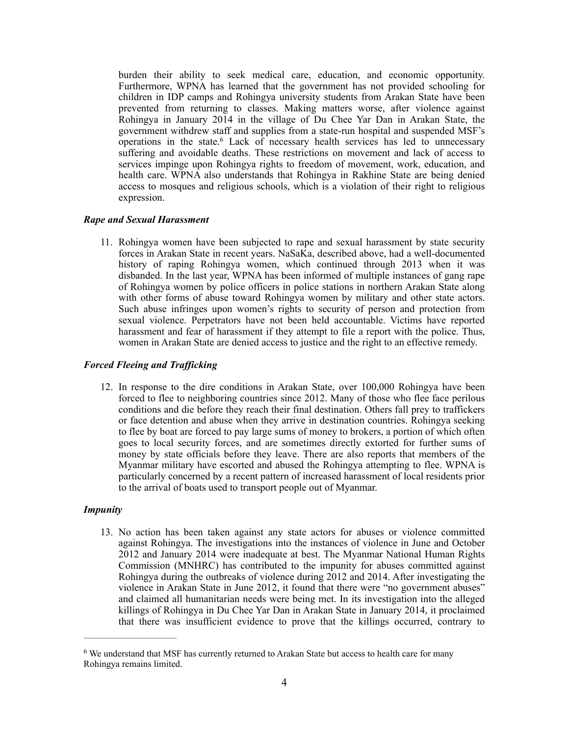burden their ability to seek medical care, education, and economic opportunity. Furthermore, WPNA has learned that the government has not provided schooling for children in IDP camps and Rohingya university students from Arakan State have been prevented from returning to classes. Making matters worse, after violence against Rohingya in January 2014 in the village of Du Chee Yar Dan in Arakan State, the government withdrew staff and supplies from a state-run hospital and suspended MSF's operations in the state. Lack of necessary health services has led to unnecessary suffering and avoidable deaths. These restrictions on movement and lack of access to services impinge upon Rohingya rights to freedom of movement, work, education, and health care. WPNA also understands that Rohingya in Rakhine State are being denied access to mosques and religious schools, which is a violation of their right to religious expression.

## *Rape and Sexual Harassment*

11. Rohingya women have been subjected to rape and sexual harassment by state security forces in Arakan State in recent years. NaSaKa, described above, had a well-documented history of raping Rohingya women, which continued through 2013 when it was disbanded. In the last year, WPNA has been informed of multiple instances of gang rape of Rohingya women by police officers in police stations in northern Arakan State along with other forms of abuse toward Rohingya women by military and other state actors. Such abuse infringes upon women's rights to security of person and protection from sexual violence. Perpetrators have not been held accountable. Victims have reported harassment and fear of harassment if they attempt to file a report with the police. Thus, women in Arakan State are denied access to justice and the right to an effective remedy.

# *Forced Fleeing and Trafficking*

12. In response to the dire conditions in Arakan State, over 100,000 Rohingya have been forced to flee to neighboring countries since 2012. Many of those who flee face perilous conditions and die before they reach their final destination. Others fall prey to traffickers or face detention and abuse when they arrive in destination countries. Rohingya seeking to flee by boat are forced to pay large sums of money to brokers, a portion of which often goes to local security forces, and are sometimes directly extorted for further sums of money by state officials before they leave. There are also reports that members of the Myanmar military have escorted and abused the Rohingya attempting to flee. WPNA is particularly concerned by a recent pattern of increased harassment of local residents prior to the arrival of boats used to transport people out of Myanmar.

## *Impunity*

13. No action has been taken against any state actors for abuses or violence committed against Rohingya. The investigations into the instances of violence in June and October 2012 and January 2014 were inadequate at best. The Myanmar National Human Rights Commission (MNHRC) has contributed to the impunity for abuses committed against Rohingya during the outbreaks of violence during 2012 and 2014. After investigating the violence in Arakan State in June 2012, it found that there were "no government abuses" and claimed all humanitarian needs were being met. In its investigation into the alleged killings of Rohingya in Du Chee Yar Dan in Arakan State in January 2014, it proclaimed that there was insufficient evidence to prove that the killings occurred, contrary to

<sup>&</sup>lt;sup>6</sup> We understand that MSF has currently returned to Arakan State but access to health care for many Rohingya remains limited.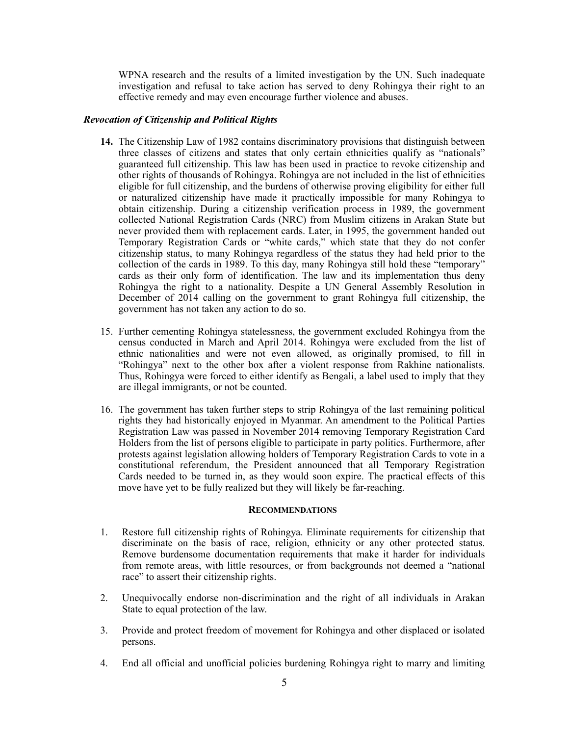WPNA research and the results of a limited investigation by the UN. Such inadequate investigation and refusal to take action has served to deny Rohingya their right to an effective remedy and may even encourage further violence and abuses.

## *Revocation of Citizenship and Political Rights*

- **14.** The Citizenship Law of 1982 contains discriminatory provisions that distinguish between three classes of citizens and states that only certain ethnicities qualify as "nationals" guaranteed full citizenship. This law has been used in practice to revoke citizenship and other rights of thousands of Rohingya. Rohingya are not included in the list of ethnicities eligible for full citizenship, and the burdens of otherwise proving eligibility for either full or naturalized citizenship have made it practically impossible for many Rohingya to obtain citizenship. During a citizenship verification process in 1989, the government collected National Registration Cards (NRC) from Muslim citizens in Arakan State but never provided them with replacement cards. Later, in 1995, the government handed out Temporary Registration Cards or "white cards," which state that they do not confer citizenship status, to many Rohingya regardless of the status they had held prior to the collection of the cards in 1989. To this day, many Rohingya still hold these "temporary" cards as their only form of identification. The law and its implementation thus deny Rohingya the right to a nationality. Despite a UN General Assembly Resolution in December of 2014 calling on the government to grant Rohingya full citizenship, the government has not taken any action to do so.
- 15. Further cementing Rohingya statelessness, the government excluded Rohingya from the census conducted in March and April 2014. Rohingya were excluded from the list of ethnic nationalities and were not even allowed, as originally promised, to fill in "Rohingya" next to the other box after a violent response from Rakhine nationalists. Thus, Rohingya were forced to either identify as Bengali, a label used to imply that they are illegal immigrants, or not be counted.
- 16. The government has taken further steps to strip Rohingya of the last remaining political rights they had historically enjoyed in Myanmar. An amendment to the Political Parties Registration Law was passed in November 2014 removing Temporary Registration Card Holders from the list of persons eligible to participate in party politics. Furthermore, after protests against legislation allowing holders of Temporary Registration Cards to vote in a constitutional referendum, the President announced that all Temporary Registration Cards needed to be turned in, as they would soon expire. The practical effects of this move have yet to be fully realized but they will likely be far-reaching.

#### **RECOMMENDATIONS**

- 1. Restore full citizenship rights of Rohingya. Eliminate requirements for citizenship that discriminate on the basis of race, religion, ethnicity or any other protected status. Remove burdensome documentation requirements that make it harder for individuals from remote areas, with little resources, or from backgrounds not deemed a "national race" to assert their citizenship rights.
- 2. Unequivocally endorse non-discrimination and the right of all individuals in Arakan State to equal protection of the law.
- 3. Provide and protect freedom of movement for Rohingya and other displaced or isolated persons.
- 4. End all official and unofficial policies burdening Rohingya right to marry and limiting